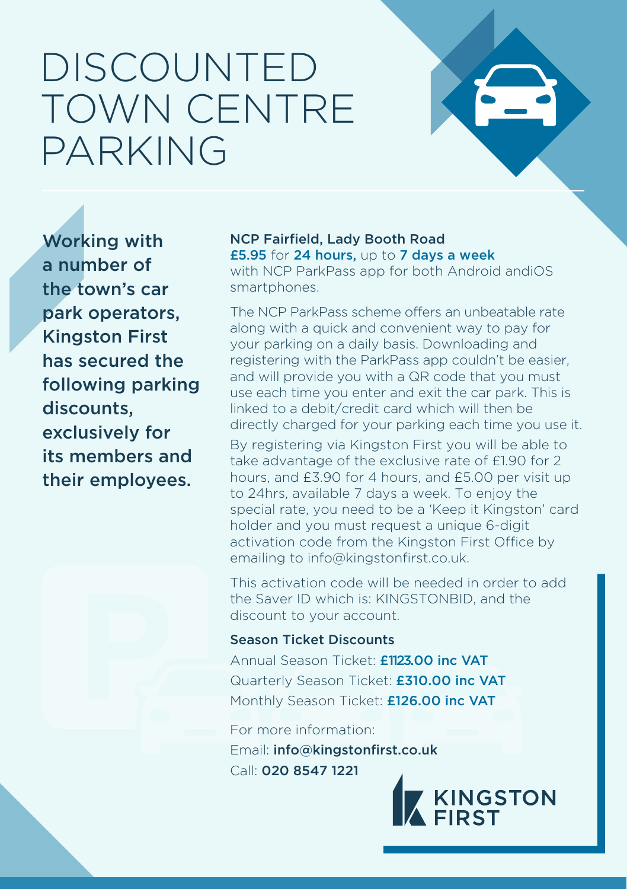# DISCOUNTED TOWN CENTRE PARKING

Working with a number of the town's car park operators, Kingston First has secured the following parking discounts, exclusively for its members and their employees.

NCP Fairfield, Lady Booth Road £5.95 for 24 hours, up to 7 days a week with NCP ParkPass app for both Android andiOS smartphones.

The NCP ParkPass scheme offers an unbeatable rate along with a quick and convenient way to pay for your parking on a daily basis. Downloading and registering with the ParkPass app couldn't be easier, and will provide you with a QR code that you must use each time you enter and exit the car park. This is linked to a debit/credit card which will then be directly charged for your parking each time you use it.

By registering via Kingston First you will be able to take advantage of the exclusive rate of £1.90 for 2 hours, and £3.90 for 4 hours, and £5.00 per visit up to 24hrs, available 7 days a week. To enjoy the special rate, you need to be a 'Keep it Kingston' card holder and you must request a unique 6-digit activation code from the Kingston First Office by emailing to info@kingstonfirst.co.uk.

This activation code will be needed in order to add the Saver ID which is: KINGSTONBID, and the discount to your account.

#### Season Ticket Discounts

Annual Season Ticket: £1123.00 inc VAT Quarterly Season Ticket: £310.00 inc VAT Monthly Season Ticket: £126.00 inc VAT

For more information: Email: info@kingstonfirst.co.uk Call: 020 8547 1221